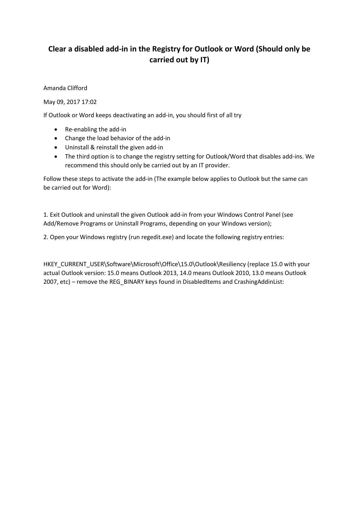## Clear a disabled add-in in the Registry for Outlook or Word (Should only be carried out by IT)

Amanda Clifford

May 09, 2017 17:02

If Outlook or Word keeps deactivating an add-in, you should first of all try

- Re-enabling the add-in
- Change the load behavior of the add-in
- Uninstall & reinstall the given add-in
- The third option is to change the registry setting for Outlook/Word that disables add-ins. We recommend this should only be carried out by an IT provider.

Follow these steps to activate the add-in (The example below applies to Outlook but the same can be carried out for Word):

1. Exit Outlook and uninstall the given Outlook add-in from your Windows Control Panel (see Add/Remove Programs or Uninstall Programs, depending on your Windows version);

2. Open your Windows registry (run regedit.exe) and locate the following registry entries:

HKEY\_CURRENT\_USER\Software\Microsoft\Office\15.0\Outlook\Resiliency (replace 15.0 with your actual Outlook version: 15.0 means Outlook 2013, 14.0 means Outlook 2010, 13.0 means Outlook 2007, etc) – remove the REG\_BINARY keys found in DisabledItems and CrashingAddinList: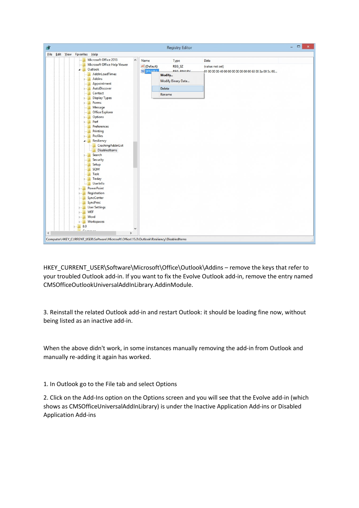

HKEY\_CURRENT\_USER\Software\Microsoft\Office\Outlook\Addins – remove the keys that refer to your troubled Outlook add-in. If you want to fix the Evolve Outlook add-in, remove the entry named CMSOfficeOutlookUniversalAddInLibrary.AddinModule.

3. Reinstall the related Outlook add-in and restart Outlook: it should be loading fine now, without being listed as an inactive add-in.

When the above didn't work, in some instances manually removing the add-in from Outlook and manually re-adding it again has worked.

1. In Outlook go to the File tab and select Options

2. Click on the Add-Ins option on the Options screen and you will see that the Evolve add-in (which shows as CMSOfficeUniversalAddInLibrary) is under the Inactive Application Add-ins or Disabled Application Add-ins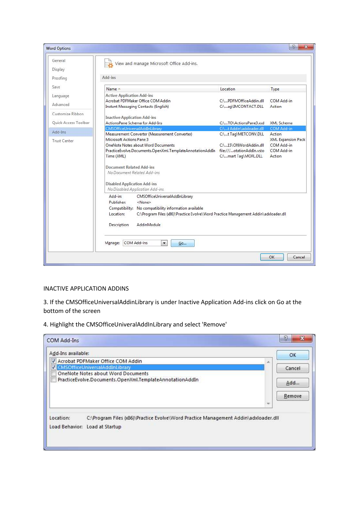| <b>Word Options</b>         |                                                                                                  |                          | $\mathcal{P}$<br>$\mathbf{x}$ |  |  |
|-----------------------------|--------------------------------------------------------------------------------------------------|--------------------------|-------------------------------|--|--|
| General<br>Display          | View and manage Microsoft Office Add-ins.                                                        |                          |                               |  |  |
| Proofing                    | Add-ins                                                                                          |                          |                               |  |  |
| Save                        | Name -                                                                                           | Location                 | Type                          |  |  |
| Language                    | <b>Active Application Add-ins</b>                                                                |                          |                               |  |  |
| Advanced                    | Acrobat PDFMaker Office COM Addin                                                                | C:\PDFMOfficeAddin.dll   | COM Add-in                    |  |  |
|                             | Instant Messaging Contacts (English)                                                             | C:\aq\IMCONTACT.DLL      | Action                        |  |  |
| Customize Ribbon            |                                                                                                  |                          |                               |  |  |
| <b>Ouick Access Toolbar</b> | <b>Inactive Application Add-ins</b><br>ActionsPane Schema for Add-Ins                            | C:\TO\ActionsPane3.xsd   | XML Schema                    |  |  |
|                             | <b>CMSOfficeUniversalAddInLibrary</b>                                                            | C:\t Addin\adxloader.dll | COM Add-in                    |  |  |
| Add-Ins                     | Measurement Converter (Measurement Converter)                                                    | C:\t Tag\METCONV.DLL     | Action                        |  |  |
| Trust Center                | Microsoft Actions Pane 3                                                                         |                          | <b>XML Expansion Pack</b>     |  |  |
|                             | OneNote Notes about Word Documents                                                               | C:\15\ONWordAddin.dll    | COM Add-in                    |  |  |
|                             | PracticeEvolve.Documents.OpenXml.TemplateAnnotationAddIn file:///otationAddIn.vsto               |                          | COM Add-in                    |  |  |
|                             | Time (XML)                                                                                       | C:\mart Tag\MOFL.DLL     | Action                        |  |  |
|                             | Document Related Add-ins                                                                         |                          |                               |  |  |
|                             | No Document Related Add-ins                                                                      |                          |                               |  |  |
|                             |                                                                                                  |                          |                               |  |  |
|                             | <b>Disabled Application Add-ins</b>                                                              |                          |                               |  |  |
|                             | No Disabled Application Add-ins                                                                  |                          |                               |  |  |
|                             | Add-in:<br>CMSOfficeUniversalAddInLibrary                                                        |                          |                               |  |  |
|                             | Publisher:<br><none></none>                                                                      |                          |                               |  |  |
|                             | No compatibility information available<br>Compatibility:                                         |                          |                               |  |  |
|                             | Location:<br>C:\Program Files (x86)\Practice Evolve\Word Practice Management Addin\adxloader.dll |                          |                               |  |  |
|                             |                                                                                                  |                          |                               |  |  |
|                             | AddinModule<br>Description:                                                                      |                          |                               |  |  |
|                             |                                                                                                  |                          |                               |  |  |
|                             | COM Add-ins<br>Manage:<br>$\overline{\phantom{a}}$<br>Go                                         |                          |                               |  |  |
|                             |                                                                                                  |                          | OK<br>Cancel                  |  |  |

## INACTIVE APPLICATION ADDINS

3. If the CMSOfficeUniversalAddinLibrary is under Inactive Application Add-ins click on Go at the bottom of the screen

4. Highlight the CMSOfficeUniveralAddInLibrary and select 'Remove'

| COM Add-Ins                                              |                                                                                     |   | 7      |
|----------------------------------------------------------|-------------------------------------------------------------------------------------|---|--------|
| Add-Ins available:                                       |                                                                                     |   | ОК     |
|                                                          | Acrobat PDFMaker Office COM Addin                                                   | × |        |
|                                                          | <b>W</b> CMSOfficeUniversalAddInLibrary                                             |   | Cancel |
|                                                          | OneNote Notes about Word Documents                                                  |   |        |
| PracticeEvolve.Documents.OpenXml.TemplateAnnotationAddIn |                                                                                     |   | Add    |
|                                                          |                                                                                     |   | Remove |
|                                                          |                                                                                     |   |        |
| Location:                                                | C:\Program Files (x86)\Practice Evolve\Word Practice Management Addin\adxloader.dll |   |        |
|                                                          | Load Behavior: Load at Startup                                                      |   |        |
|                                                          |                                                                                     |   |        |
|                                                          |                                                                                     |   |        |